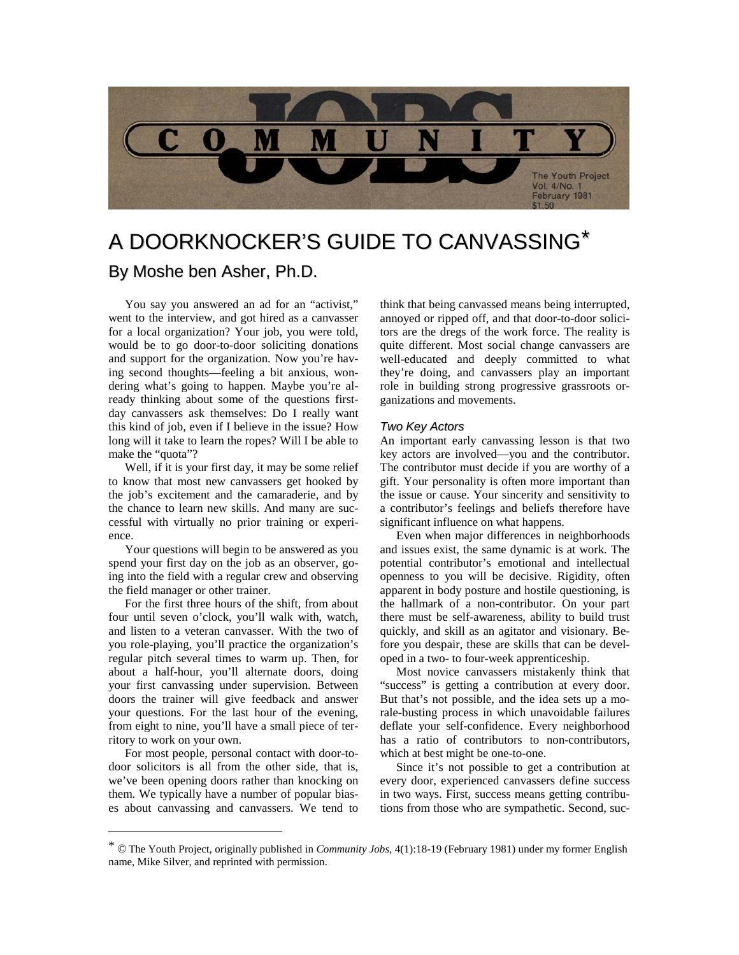

# A DOORKNOCKER'S GUIDE TO CANVASSING[\\*](#page-0-0)

## By Moshe ben Asher, Ph.D.

You say you answered an ad for an "activist," went to the interview, and got hired as a canvasser for a local organization? Your job, you were told, would be to go door-to-door soliciting donations and support for the organization. Now you're having second thoughts—feeling a bit anxious, wondering what's going to happen. Maybe you're already thinking about some of the questions firstday canvassers ask themselves: Do I really want this kind of job, even if I believe in the issue? How long will it take to learn the ropes? Will I be able to make the "quota"?

Well, if it is your first day, it may be some relief to know that most new canvassers get hooked by the job's excitement and the camaraderie, and by the chance to learn new skills. And many are successful with virtually no prior training or experience.

Your questions will begin to be answered as you spend your first day on the job as an observer, going into the field with a regular crew and observing the field manager or other trainer.

For the first three hours of the shift, from about four until seven o'clock, you'll walk with, watch, and listen to a veteran canvasser. With the two of you role-playing, you'll practice the organization's regular pitch several times to warm up. Then, for about a half-hour, you'll alternate doors, doing your first canvassing under supervision. Between doors the trainer will give feedback and answer your questions. For the last hour of the evening, from eight to nine, you'll have a small piece of territory to work on your own.

For most people, personal contact with door-todoor solicitors is all from the other side, that is, we've been opening doors rather than knocking on them. We typically have a number of popular biases about canvassing and canvassers. We tend to think that being canvassed means being interrupted, annoyed or ripped off, and that door-to-door solicitors are the dregs of the work force. The reality is quite different. Most social change canvassers are well-educated and deeply committed to what they're doing, and canvassers play an important role in building strong progressive grassroots organizations and movements.

### *Two Key Actors*

An important early canvassing lesson is that two key actors are involved—you and the contributor. The contributor must decide if you are worthy of a gift. Your personality is often more important than the issue or cause. Your sincerity and sensitivity to a contributor's feelings and beliefs therefore have significant influence on what happens.

Even when major differences in neighborhoods and issues exist, the same dynamic is at work. The potential contributor's emotional and intellectual openness to you will be decisive. Rigidity, often apparent in body posture and hostile questioning, is the hallmark of a non-contributor. On your part there must be self-awareness, ability to build trust quickly, and skill as an agitator and visionary. Before you despair, these are skills that can be developed in a two- to four-week apprenticeship.

Most novice canvassers mistakenly think that "success" is getting a contribution at every door. But that's not possible, and the idea sets up a morale-busting process in which unavoidable failures deflate your self-confidence. Every neighborhood has a ratio of contributors to non-contributors, which at best might be one-to-one.

Since it's not possible to get a contribution at every door, experienced canvassers define success in two ways. First, success means getting contributions from those who are sympathetic. Second, suc-

<span id="page-0-0"></span> <sup>\*</sup> © The Youth Project, originally published in *Community Jobs*, 4(1):18-19 (February 1981) under my former English name, Mike Silver, and reprinted with permission.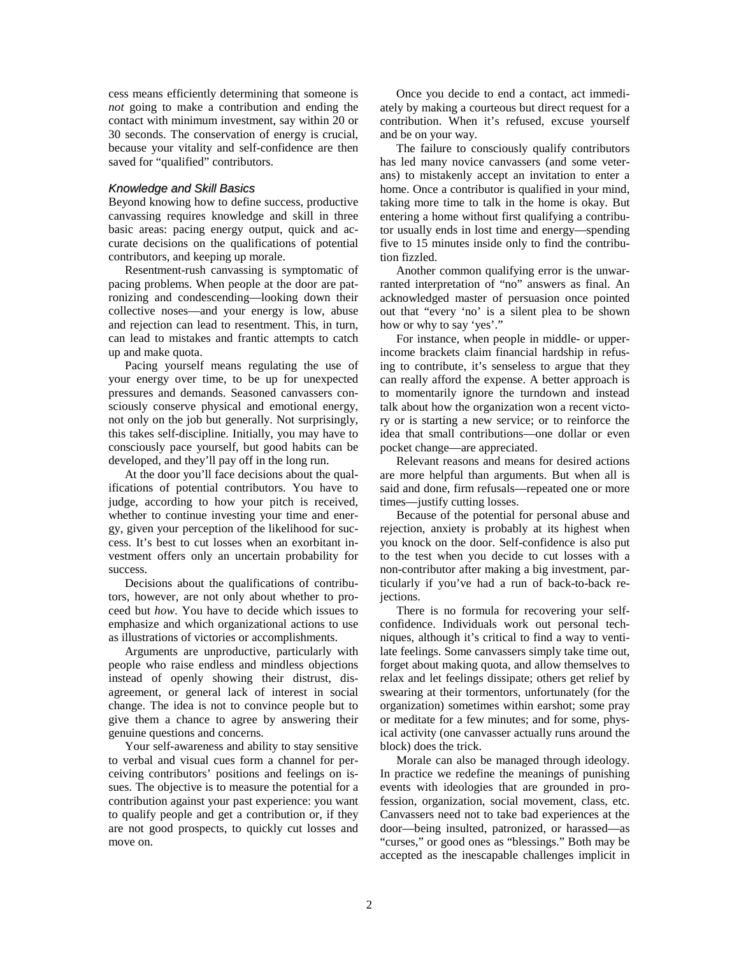cess means efficiently determining that someone is *not* going to make a contribution and ending the contact with minimum investment, say within 20 or 30 seconds. The conservation of energy is crucial, because your vitality and self-confidence are then saved for "qualified" contributors.

#### *Knowledge and Skill Basics*

Beyond knowing how to define success, productive canvassing requires knowledge and skill in three basic areas: pacing energy output, quick and accurate decisions on the qualifications of potential contributors, and keeping up morale.

Resentment-rush canvassing is symptomatic of pacing problems. When people at the door are patronizing and condescending—looking down their collective noses—and your energy is low, abuse and rejection can lead to resentment. This, in turn, can lead to mistakes and frantic attempts to catch up and make quota.

Pacing yourself means regulating the use of your energy over time, to be up for unexpected pressures and demands. Seasoned canvassers consciously conserve physical and emotional energy, not only on the job but generally. Not surprisingly, this takes self-discipline. Initially, you may have to consciously pace yourself, but good habits can be developed, and they'll pay off in the long run.

At the door you'll face decisions about the qualifications of potential contributors. You have to judge, according to how your pitch is received, whether to continue investing your time and energy, given your perception of the likelihood for success. It's best to cut losses when an exorbitant investment offers only an uncertain probability for success.

Decisions about the qualifications of contributors, however, are not only about whether to proceed but *how*. You have to decide which issues to emphasize and which organizational actions to use as illustrations of victories or accomplishments.

Arguments are unproductive, particularly with people who raise endless and mindless objections instead of openly showing their distrust, disagreement, or general lack of interest in social change. The idea is not to convince people but to give them a chance to agree by answering their genuine questions and concerns.

Your self-awareness and ability to stay sensitive to verbal and visual cues form a channel for perceiving contributors' positions and feelings on issues. The objective is to measure the potential for a contribution against your past experience: you want to qualify people and get a contribution or, if they are not good prospects, to quickly cut losses and move on.

Once you decide to end a contact, act immediately by making a courteous but direct request for a contribution. When it's refused, excuse yourself and be on your way.

The failure to consciously qualify contributors has led many novice canvassers (and some veterans) to mistakenly accept an invitation to enter a home. Once a contributor is qualified in your mind, taking more time to talk in the home is okay. But entering a home without first qualifying a contributor usually ends in lost time and energy—spending five to 15 minutes inside only to find the contribution fizzled.

Another common qualifying error is the unwarranted interpretation of "no" answers as final. An acknowledged master of persuasion once pointed out that "every 'no' is a silent plea to be shown how or why to say 'yes'."

For instance, when people in middle- or upperincome brackets claim financial hardship in refusing to contribute, it's senseless to argue that they can really afford the expense. A better approach is to momentarily ignore the turndown and instead talk about how the organization won a recent victory or is starting a new service; or to reinforce the idea that small contributions—one dollar or even pocket change—are appreciated.

Relevant reasons and means for desired actions are more helpful than arguments. But when all is said and done, firm refusals—repeated one or more times—justify cutting losses.

Because of the potential for personal abuse and rejection, anxiety is probably at its highest when you knock on the door. Self-confidence is also put to the test when you decide to cut losses with a non-contributor after making a big investment, particularly if you've had a run of back-to-back rejections.

There is no formula for recovering your selfconfidence. Individuals work out personal techniques, although it's critical to find a way to ventilate feelings. Some canvassers simply take time out, forget about making quota, and allow themselves to relax and let feelings dissipate; others get relief by swearing at their tormentors, unfortunately (for the organization) sometimes within earshot; some pray or meditate for a few minutes; and for some, physical activity (one canvasser actually runs around the block) does the trick.

Morale can also be managed through ideology. In practice we redefine the meanings of punishing events with ideologies that are grounded in profession, organization, social movement, class, etc. Canvassers need not to take bad experiences at the door—being insulted, patronized, or harassed—as "curses," or good ones as "blessings." Both may be accepted as the inescapable challenges implicit in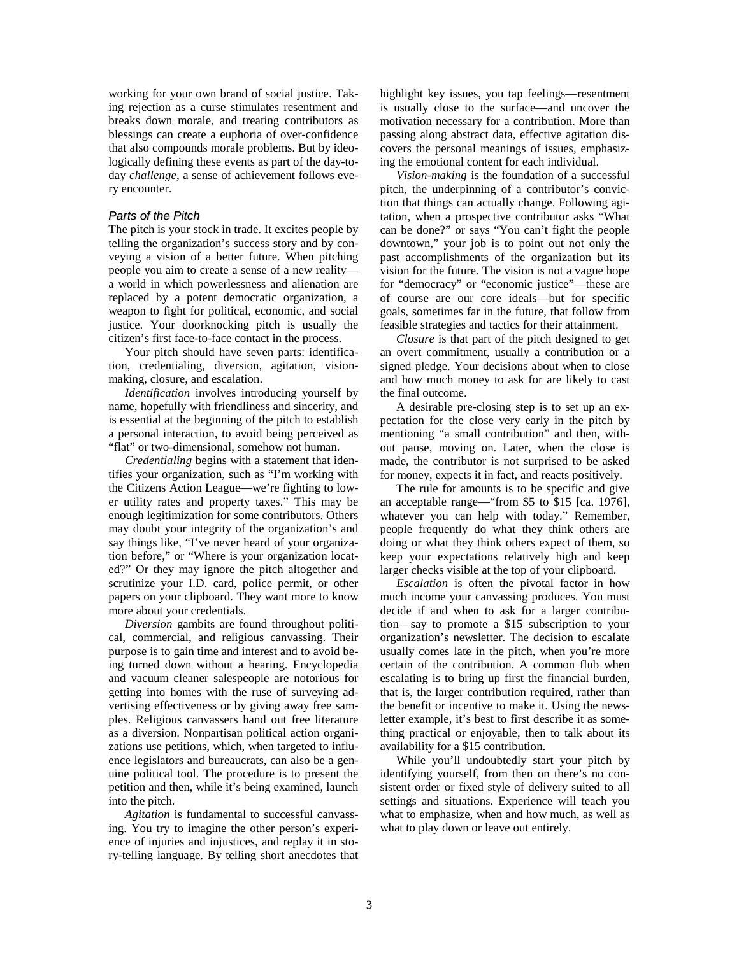working for your own brand of social justice. Taking rejection as a curse stimulates resentment and breaks down morale, and treating contributors as blessings can create a euphoria of over-confidence that also compounds morale problems. But by ideologically defining these events as part of the day-today *challenge*, a sense of achievement follows every encounter.

#### *Parts of the Pitch*

The pitch is your stock in trade. It excites people by telling the organization's success story and by conveying a vision of a better future. When pitching people you aim to create a sense of a new reality a world in which powerlessness and alienation are replaced by a potent democratic organization, a weapon to fight for political, economic, and social justice. Your doorknocking pitch is usually the citizen's first face-to-face contact in the process.

Your pitch should have seven parts: identification, credentialing, diversion, agitation, visionmaking, closure, and escalation.

*Identification* involves introducing yourself by name, hopefully with friendliness and sincerity, and is essential at the beginning of the pitch to establish a personal interaction, to avoid being perceived as "flat" or two-dimensional, somehow not human.

*Credentialing* begins with a statement that identifies your organization, such as "I'm working with the Citizens Action League—we're fighting to lower utility rates and property taxes." This may be enough legitimization for some contributors. Others may doubt your integrity of the organization's and say things like, "I've never heard of your organization before," or "Where is your organization located?" Or they may ignore the pitch altogether and scrutinize your I.D. card, police permit, or other papers on your clipboard. They want more to know more about your credentials.

*Diversion* gambits are found throughout political, commercial, and religious canvassing. Their purpose is to gain time and interest and to avoid being turned down without a hearing. Encyclopedia and vacuum cleaner salespeople are notorious for getting into homes with the ruse of surveying advertising effectiveness or by giving away free samples. Religious canvassers hand out free literature as a diversion. Nonpartisan political action organizations use petitions, which, when targeted to influence legislators and bureaucrats, can also be a genuine political tool. The procedure is to present the petition and then, while it's being examined, launch into the pitch.

*Agitation* is fundamental to successful canvassing. You try to imagine the other person's experience of injuries and injustices, and replay it in story-telling language. By telling short anecdotes that highlight key issues, you tap feelings—resentment is usually close to the surface—and uncover the motivation necessary for a contribution. More than passing along abstract data, effective agitation discovers the personal meanings of issues, emphasizing the emotional content for each individual.

*Vision-making* is the foundation of a successful pitch, the underpinning of a contributor's conviction that things can actually change. Following agitation, when a prospective contributor asks "What can be done?" or says "You can't fight the people downtown," your job is to point out not only the past accomplishments of the organization but its vision for the future. The vision is not a vague hope for "democracy" or "economic justice"—these are of course are our core ideals—but for specific goals, sometimes far in the future, that follow from feasible strategies and tactics for their attainment.

*Closure* is that part of the pitch designed to get an overt commitment, usually a contribution or a signed pledge. Your decisions about when to close and how much money to ask for are likely to cast the final outcome.

A desirable pre-closing step is to set up an expectation for the close very early in the pitch by mentioning "a small contribution" and then, without pause, moving on. Later, when the close is made, the contributor is not surprised to be asked for money, expects it in fact, and reacts positively.

The rule for amounts is to be specific and give an acceptable range—"from \$5 to \$15 [ca. 1976], whatever you can help with today." Remember, people frequently do what they think others are doing or what they think others expect of them, so keep your expectations relatively high and keep larger checks visible at the top of your clipboard.

*Escalation* is often the pivotal factor in how much income your canvassing produces. You must decide if and when to ask for a larger contribution—say to promote a \$15 subscription to your organization's newsletter. The decision to escalate usually comes late in the pitch, when you're more certain of the contribution. A common flub when escalating is to bring up first the financial burden, that is, the larger contribution required, rather than the benefit or incentive to make it. Using the newsletter example, it's best to first describe it as something practical or enjoyable, then to talk about its availability for a \$15 contribution.

While you'll undoubtedly start your pitch by identifying yourself, from then on there's no consistent order or fixed style of delivery suited to all settings and situations. Experience will teach you what to emphasize, when and how much, as well as what to play down or leave out entirely.